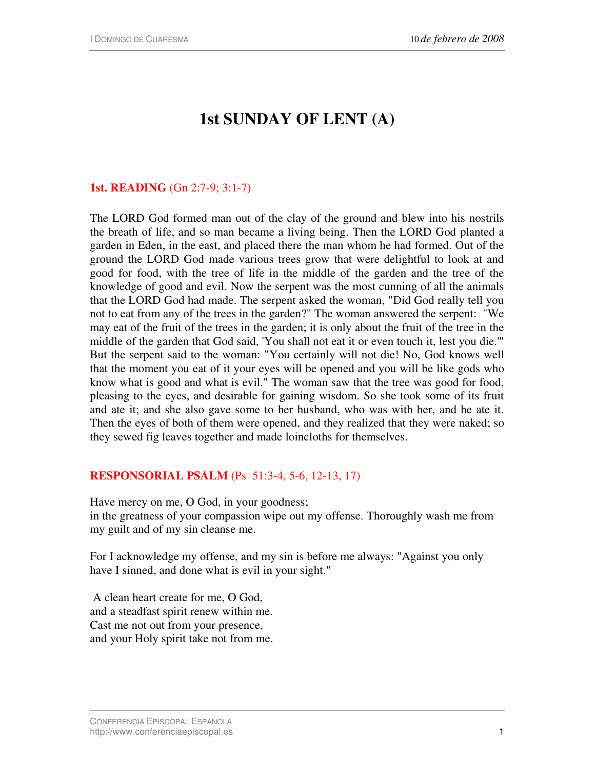# **1st SUNDAY OF LENT (A)**

## **1st. READING** (Gn 2:7-9; 3:1-7)

The LORD God formed man out of the clay of the ground and blew into his nostrils the breath of life, and so man became a living being. Then the LORD God planted a garden in Eden, in the east, and placed there the man whom he had formed. Out of the ground the LORD God made various trees grow that were delightful to look at and good for food, with the tree of life in the middle of the garden and the tree of the knowledge of good and evil. Now the serpent was the most cunning of all the animals that the LORD God had made. The serpent asked the woman, "Did God really tell you not to eat from any of the trees in the garden?" The woman answered the serpent: "We may eat of the fruit of the trees in the garden; it is only about the fruit of the tree in the middle of the garden that God said, 'You shall not eat it or even touch it, lest you die.'" But the serpent said to the woman: "You certainly will not die! No, God knows well that the moment you eat of it your eyes will be opened and you will be like gods who know what is good and what is evil." The woman saw that the tree was good for food, pleasing to the eyes, and desirable for gaining wisdom. So she took some of its fruit and ate it; and she also gave some to her husband, who was with her, and he ate it. Then the eyes of both of them were opened, and they realized that they were naked; so they sewed fig leaves together and made loincloths for themselves.

## **RESPONSORIAL PSALM** (Ps 51:3-4, 5-6, 12-13, 17)

Have mercy on me, O God, in your goodness; in the greatness of your compassion wipe out my offense. Thoroughly wash me from my guilt and of my sin cleanse me.

For I acknowledge my offense, and my sin is before me always: "Against you only have I sinned, and done what is evil in your sight."

 A clean heart create for me, O God, and a steadfast spirit renew within me. Cast me not out from your presence, and your Holy spirit take not from me.